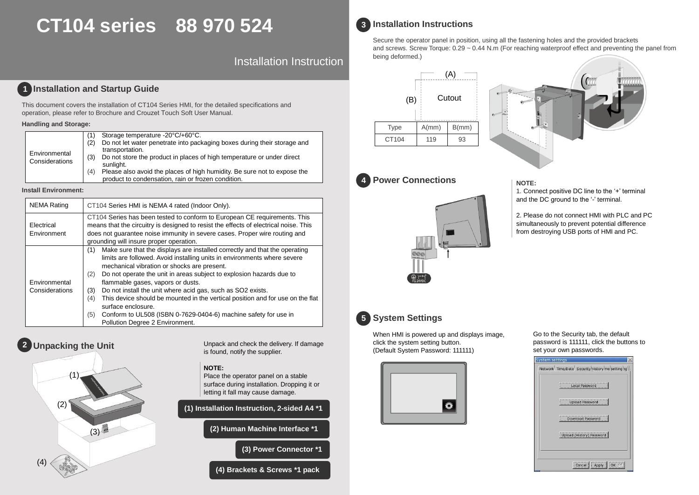# **CT104 series 88 970 524**

Installation Instruction

# **1** Installation and Startup Guide

This document covers the installation of CT104 Series HMI, for the detailed specifications and operation, please refer to Brochure and Crouzet Touch Soft User Manual.

#### **Handling and Storage:**

|                |     | Storage temperature -20°C/+60°C.                                         |
|----------------|-----|--------------------------------------------------------------------------|
|                | (2) | Do not let water penetrate into packaging boxes during their storage and |
|                |     | transportation.                                                          |
| Environmental  | (3) | Do not store the product in places of high temperature or under direct   |
| Considerations |     | sunlight.                                                                |
|                | (4) | Please also avoid the places of high humidity. Be sure not to expose the |
|                |     | product to condensation, rain or frozen condition.                       |

#### **Install Environment:**

| <b>NEMA Rating</b>              | CT104 Series HMI is NEMA 4 rated (Indoor Only).                                                                                                                                                                                                                                                                                                                                                                                                                                                                                                                                                                                    |
|---------------------------------|------------------------------------------------------------------------------------------------------------------------------------------------------------------------------------------------------------------------------------------------------------------------------------------------------------------------------------------------------------------------------------------------------------------------------------------------------------------------------------------------------------------------------------------------------------------------------------------------------------------------------------|
| Electrical<br>Environment       | CT104 Series has been tested to conform to European CE requirements. This<br>means that the circuitry is designed to resist the effects of electrical noise. This<br>does not quarantee noise immunity in severe cases. Proper wire routing and<br>grounding will insure proper operation.                                                                                                                                                                                                                                                                                                                                         |
| Environmental<br>Considerations | Make sure that the displays are installed correctly and that the operating<br>(1)<br>limits are followed. Avoid installing units in environments where severe<br>mechanical vibration or shocks are present.<br>Do not operate the unit in areas subject to explosion hazards due to<br>(2)<br>flammable gases, vapors or dusts.<br>Do not install the unit where acid gas, such as SO2 exists.<br>(3)<br>This device should be mounted in the vertical position and for use on the flat<br>(4)<br>surface enclosure.<br>Conform to UL508 (ISBN 0-7629-0404-6) machine safety for use in<br>(5)<br>Pollution Degree 2 Environment. |

# **Unpacking the Unit 2**



Unpack and check the delivery. If damage is found, notify the supplier.

#### **NOTE:**

Place the operator panel on a stable surface during installation. Dropping it or letting it fall may cause damage.

**(1) Installation Instruction, 2-sided A4 \*1**

**(2) Human Machine Interface \*1**

**(3) Power Connector \*1**

**(4) Brackets & Screws \*1 pack**



#### **Installation Instructions 3**

Secure the operator panel in position, using all the fastening holes and the provided brackets and screws. Screw Torque:  $0.29 \sim 0.44$  N.m (For reaching waterproof effect and preventing the panel from being deformed.)





### **4 Power Connections All POWEE:**



1. Connect positive DC line to the '+' terminal and the DC ground to the '-' terminal.

2. Please do not connect HMI with PLC and PC simultaneously to prevent potential difference from destroying USB ports of HMI and PC.



When HMI is powered up and displays image, click the system setting button. (Default System Password: 111111)



Go to the Security tab, the default password is 111111, click the buttons to set your own passwords.